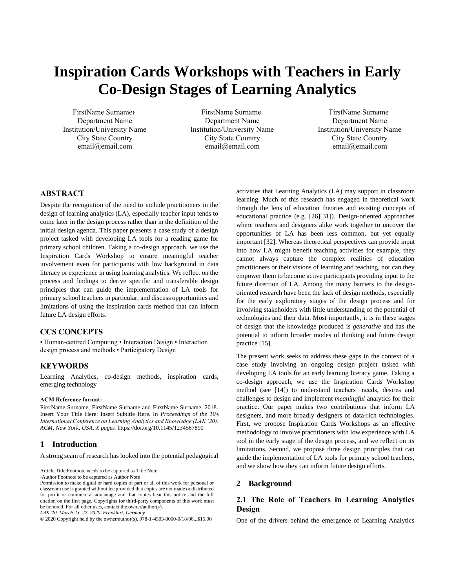# **Inspiration Cards Workshops with Teachers in Early Co-Design Stages of Learning Analytics**

FirstName Surname† Department Name Institution/University Name City State Country email@email.com

FirstName Surname Department Name Institution/University Name City State Country email@email.com

FirstName Surname Department Name Institution/University Name City State Country email@email.com

# **ABSTRACT**

Despite the recognition of the need to include practitioners in the design of learning analytics (LA), especially teacher input tends to come later in the design process rather than in the definition of the initial design agenda. This paper presents a case study of a design project tasked with developing LA tools for a reading game for primary school children. Taking a co-design approach, we use the Inspiration Cards Workshop to ensure meaningful teacher involvement even for participants with low background in data literacy or experience in using learning analytics. We reflect on the process and findings to derive specific and transferable design principles that can guide the implementation of LA tools for primary school teachers in particular, and discuss opportunities and limitations of using the inspiration cards method that can inform future LA design efforts.

# **CCS CONCEPTS**

• Human-centred Computing • Interaction Design • Interaction design process and methods • Participatory Design

# **KEYWORDS**

Learning Analytics, co-design methods, inspiration cards, emerging technology

#### **ACM Reference format:**

FirstName Surname, FirstName Surname and FirstName Surname. 2018. Insert Your Title Here: Insert Subtitle Here. In *Proceedings of the 10th International Conference on Learning Analytics and Knowledge (LAK '20). ACM, New York, USA, X pages.* https://doi.org/10.1145/1234567890

# **1 Introduction**

A strong seam of research has looked into the potential pedagogical

Article Title Footnote needs to be captured as Title Note

†Author Footnote to be captured as Author Note

Permission to make digital or hard copies of part or all of this work for personal or classroom use is granted without fee provided that copies are not made or distributed for profit or commercial advantage and that copies bear this notice and the full citation on the first page. Copyrights for third-party components of this work must be honored. For all other uses, contact the owner/author(s).

*LAK'20, March 23–27, 2020, Frankfurt, Germany*

© 2020 Copyright held by the owner/author(s). 978-1-4503-0000-0/18/06...\$15.00

activities that Learning Analytics (LA) may support in classroom learning. Much of this research has engaged in theoretical work through the lens of education theories and existing concepts of educational practice (e.g. [\[26\]](#page-9-0)[\[31\]\)](#page-9-1). Design-oriented approaches where teachers and designers alike work together to uncover the opportunities of LA has been less common, but yet equally important [\[32\].](#page-9-2) Whereas theoretical perspectives can provide input into how LA might benefit teaching activities for example, they cannot always capture the complex realities of education practitioners or their visions of learning and teaching, nor can they empower them to become active participants providing input to the future direction of LA. Among the many barriers to the designoriented research have been the lack of design methods, especially for the early exploratory stages of the design process and for involving stakeholders with little understanding of the potential of technologies and their data. Most importantly, it is in these stages of design that the knowledge produced is *generative* and has the potential to inform broader modes of thinking and future design practice [\[15\].](#page-9-3)

The present work seeks to address these gaps in the context of a case study involving an ongoing design project tasked with developing LA tools for an early learning literacy game. Taking a co-design approach, we use the Inspiration Cards Workshop method (see [\[14\]\)](#page-9-4) to understand teachers' needs, desires and challenges to design and implement *meaningful* analytics for their practice. Our paper makes two contributions that inform LA designers, and more broadly designers of data-rich technologies. First, we propose Inspiration Cards Workshops as an effective methodology to involve practitioners with low experience with LA tool in the early stage of the design process, and we reflect on its limitations. Second, we propose three design principles that can guide the implementation of LA tools for primary school teachers, and we show how they can inform future design efforts.

## **2 Background**

# **2.1 The Role of Teachers in Learning Analytics Design**

One of the drivers behind the emergence of Learning Analytics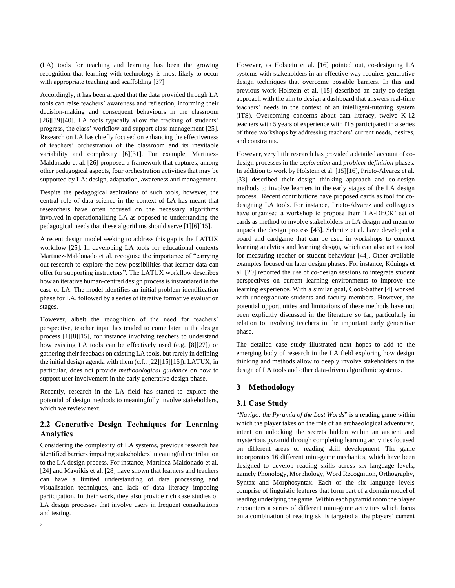(LA) tools for teaching and learning has been the growing recognition that learning with technology is most likely to occur with appropriate teaching and scaffolding [\[37\]](#page-9-5)

Accordingly, it has been argued that the data provided through LA tools can raise teachers' awareness and reflection, informing their decision-making and consequent behaviours in the classroom [\[26\]](#page-9-0)[\[39\]](#page-9-6)[\[40\].](#page-9-7) LA tools typically allow the tracking of students' progress, the class' workflow and support class management [\[25\].](#page-9-8) Research on LA has chiefly focused on enhancing the effectiveness of teachers' orchestration of the classroom and its inevitable variability and complexity [\[6\]](#page-8-0)[\[31\].](#page-9-1) For example, Martinez-Maldonado et al. [\[26\]](#page-9-0) proposed a framework that captures, among other pedagogical aspects, four orchestration activities that may be supported by LA: design, adaptation, awareness and management.

Despite the pedagogical aspirations of such tools, however, the central role of data science in the context of LA has meant that researchers have often focused on the necessary algorithms involved in operationalizing LA as opposed to understanding the pedagogical needs that these algorithms should serv[e \[1\]](#page-8-1)[\[6\]](#page-8-0)[\[15\].](#page-9-3)

A recent design model seeking to address this gap is the LATUX workflow [\[25\].](#page-9-8) In developing LA tools for educational contexts Martinez-Maldonado et al. recognise the importance of "carrying out research to explore the new possibilities that learner data can offer for supporting instructors". The LATUX workflow describes how an iterative human-centred design process is instantiated in the case of LA. The model identifies an initial problem identification phase for LA, followed by a series of iterative formative evaluation stages.

However, albeit the recognition of the need for teachers' perspective, teacher input has tended to come later in the design process [\[1\]](#page-8-1)[\[8\]](#page-8-2)[\[15\],](#page-9-3) for instance involving teachers to understand how existing LA tools can be effectively used (e.g. [\[8\]](#page-8-2)[\[27\]\)](#page-9-9) or gathering their feedback on existing LA tools, but rarely in defining the initial design agenda with them (c.f., [\[22\]](#page-9-10)[\[15\]](#page-9-3)[\[16\]\)](#page-9-11). LATUX, in particular, does not provide *methodological guidance* on how to support user involvement in the early generative design phase.

Recently, research in the LA field has started to explore the potential of design methods to meaningfully involve stakeholders, which we review next.

# **2.2 Generative Design Techniques for Learning Analytics**

Considering the complexity of LA systems, previous research has identified barriers impeding stakeholders' meaningful contribution to the LA design process. For instance, Martinez-Maldonado et al. [\[24\]](#page-9-12) and Mavrikis et al. [\[28\]](#page-9-13) have shown that learners and teachers can have a limited understanding of data processing and visualisation techniques, and lack of data literacy impeding participation. In their work, they also provide rich case studies of LA design processes that involve users in frequent consultations and testing.

However, as Holstein et al. [\[16\]](#page-9-11) pointed out, co-designing LA systems with stakeholders in an effective way requires generative design techniques that overcome possible barriers. In this and previous work Holstein et al. [\[15\]](#page-9-3) described an early co-design approach with the aim to design a dashboard that answers real-time teachers' needs in the context of an intelligent-tutoring system (ITS). Overcoming concerns about data literacy, twelve K-12 teachers with 5 years of experience with ITS participated in a series of three workshops by addressing teachers' current needs, desires, and constraints.

However, very little research has provided a detailed account of codesign processes in the *exploration* and *problem-definition* phases. In addition to work by Holstein et al. [\[15\]](#page-9-3)[\[16\],](#page-9-11) Prieto-Alvarez et al. [\[33\]](#page-9-14) described their design thinking approach and co-design methods to involve learners in the early stages of the LA design process. Recent contributions have proposed cards as tool for codesigning LA tools. For instance, Prieto-Alvarez and colleagues have organised a workshop to propose their 'LA-DECK' set of cards as method to involve stakeholders in LA design and mean to unpack the design process [\[43\].](#page-9-15) Schmitz et al. have developed a board and cardgame that can be used in workshops to connect learning analytics and learning design, which can also act as tool for measuring teacher or student behaviour [\[44\].](#page-9-16) Other available examples focused on later design phases. For instance, Könings et al. [\[20\]](#page-9-17) reported the use of co-design sessions to integrate student perspectives on current learning environments to improve the learning experience. With a similar goal, Cook-Sather [\[4\]](#page-8-3) worked with undergraduate students and faculty members. However, the potential opportunities and limitations of these methods have not been explicitly discussed in the literature so far, particularly in relation to involving teachers in the important early generative phase.

The detailed case study illustrated next hopes to add to the emerging body of research in the LA field exploring how design thinking and methods allow to deeply involve stakeholders in the design of LA tools and other data-driven algorithmic systems.

# **3 Methodology**

## **3.1 Case Study**

"*Navigo: the Pyramid of the Lost Words*" is a reading game within which the player takes on the role of an archaeological adventurer, intent on unlocking the secrets hidden within an ancient and mysterious pyramid through completing learning activities focused on different areas of reading skill development. The game incorporates 16 different mini-game mechanics, which have been designed to develop reading skills across six language levels, namely Phonology, Morphology, Word Recognition, Orthography, Syntax and Morphosyntax. Each of the six language levels comprise of linguistic features that form part of a domain model of reading underlying the game. Within each pyramid room the player encounters a series of different mini-game activities which focus on a combination of reading skills targeted at the players' current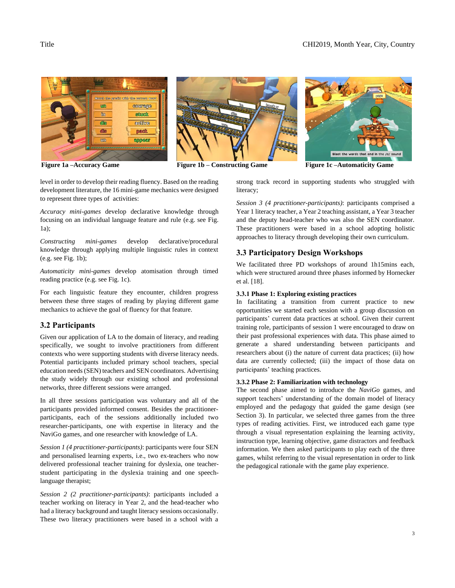



Blast the words that end in the /s/ sound

**Figure 1a –Accuracy Game Figure 1b – Constructing Game Figure 1c –Automaticity Game**

level in order to develop their reading fluency. Based on the reading development literature, the 16 mini*-*game mechanics were designed to represent three types of activities:

*Accuracy mini-games* develop declarative knowledge through focusing on an individual language feature and rule (e.g. see Fig. 1a);

*Constructing mini-games* develop declarative/procedural knowledge through applying multiple linguistic rules in context (e.g. see Fig. 1b);

*Automaticity mini-games* develop atomisation through timed reading practice (e.g. see Fig. 1c).

For each linguistic feature they encounter, children progress between these three stages of reading by playing different game mechanics to achieve the goal of fluency for that feature.

# **3.2 Participants**

Given our application of LA to the domain of literacy, and reading specifically, we sought to involve practitioners from different contexts who were supporting students with diverse literacy needs. Potential participants included primary school teachers, special education needs (SEN) teachers and SEN coordinators. Advertising the study widely through our existing school and professional networks, three different sessions were arranged.

In all three sessions participation was voluntary and all of the participants provided informed consent. Besides the practitionerparticipants, each of the sessions additionally included two researcher-participants, one with expertise in literacy and the NaviGo games, and one researcher with knowledge of LA.

*Session 1 (4 practitioner-participants)*: participants were four SEN and personalised learning experts, i.e., two ex-teachers who now delivered professional teacher training for dyslexia, one teacherstudent participating in the dyslexia training and one speechlanguage therapist;

*Session 2 (2 practitioner-participants)*: participants included a teacher working on literacy in Year 2, and the head-teacher who had a literacy background and taught literacy sessions occasionally. These two literacy practitioners were based in a school with a

strong track record in supporting students who struggled with literacy;

*Session 3 (4 practitioner-participants)*: participants comprised a Year 1 literacy teacher, a Year 2 teaching assistant, a Year 3 teacher and the deputy head-teacher who was also the SEN coordinator. These practitioners were based in a school adopting holistic approaches to literacy through developing their own curriculum.

# **3.3 Participatory Design Workshops**

We facilitated three PD workshops of around 1h15mins each, which were structured around three phases informed by Hornecker et al. [\[18\].](#page-9-18)

#### **3.3.1 Phase 1: Exploring existing practices**

In facilitating a transition from current practice to new opportunities we started each session with a group discussion on participants' current data practices at school. Given their current training role, participants of session 1 were encouraged to draw on their past professional experiences with data. This phase aimed to generate a shared understanding between participants and researchers about (i) the nature of current data practices; (ii) how data are currently collected; (iii) the impact of those data on participants' teaching practices.

## **3.3.2 Phase 2: Familiarization with technology**

The second phase aimed to introduce the *NaviGo* games, and support teachers' understanding of the domain model of literacy employed and the pedagogy that guided the game design (see Section 3). In particular, we selected three games from the three types of reading activities. First, we introduced each game type through a visual representation explaining the learning activity, instruction type, learning objective, game distractors and feedback information. We then asked participants to play each of the three games, whilst referring to the visual representation in order to link the pedagogical rationale with the game play experience.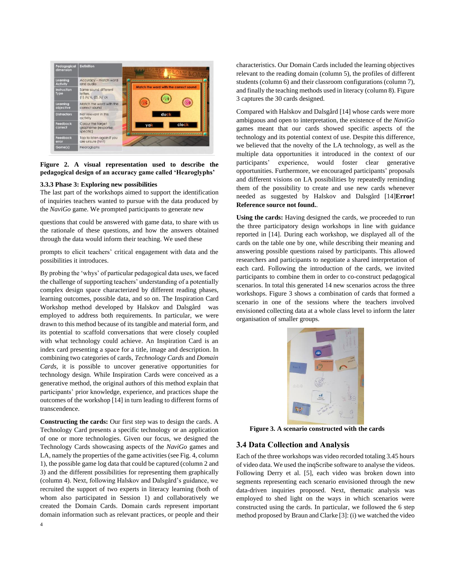

**Figure 2. A visual representation used to describe the pedagogical design of an accuracy game called 'Hearoglyphs'**

## **3.3.3 Phase 3: Exploring new possibilities**

The last part of the workshops aimed to support the identification of inquiries teachers wanted to pursue with the data produced by the *NaviGo* game. We prompted participants to generate new

questions that could be answered with game data, to share with us the rationale of these questions, and how the answers obtained through the data would inform their teaching. We used these

prompts to elicit teachers' critical engagement with data and the possibilities it introduces.

By probing the 'whys' of particular pedagogical data uses, we faced the challenge of supporting teachers' understanding of a potentially complex design space characterized by different reading phases, learning outcomes, possible data, and so on. The Inspiration Card Workshop method developed by Halskov and Dalsgård was employed to address both requirements. In particular, we were drawn to this method because of its tangible and material form, and its potential to scaffold conversations that were closely coupled with what technology could achieve. An Inspiration Card is an index card presenting a space for a title, image and description. In combining two categories of cards, *Technology Cards* and *Domain Cards,* it is possible to uncover generative opportunities for technology design*.* While Inspiration Cards were conceived as a generative method, the original authors of this method explain that participants' prior knowledge, experience, and practices shape the outcomes of the workshop [\[14\]](#page-9-4) in turn leading to different forms of transcendence.

**Constructing the cards:** Our first step was to design the cards. A Technology Card presents a specific technology or an application of one or more technologies. Given our focus, we designed the Technology Cards showcasing aspects of the *NaviGo* games and LA, namely the properties of the game activities (see Fig. 4, column 1), the possible game log data that could be captured (column 2 and 3) and the different possibilities for representing them graphically (column 4). Next, following Halskov and Dalsgård's guidance, we recruited the support of two experts in literacy learning (both of whom also participated in Session 1) and collaboratively we created the Domain Cards. Domain cards represent important domain information such as relevant practices, or people and their

characteristics. Our Domain Cards included the learning objectives relevant to the reading domain (column 5), the profiles of different students (column 6) and their classroom configurations(column 7), and finally the teaching methods used in literacy (column 8). Figure 3 captures the 30 cards designed.

Compared with Halskov and Dalsgård [\[14\]](#page-9-4) whose cards were more ambiguous and open to interpretation, the existence of the *NaviGo* games meant that our cards showed specific aspects of the technology and its potential context of use. Despite this difference, we believed that the novelty of the LA technology, as well as the multiple data opportunities it introduced in the context of our participants' experience, would foster clear generative opportunities. Furthermore, we encouraged participants' proposals and different visions on LA possibilities by repeatedly reminding them of the possibility to create and use new cards whenever needed as suggested by Halskov and Dalsgård [\[14\]](#page-9-4)**Error! Reference source not found.**.

**Using the cards:** Having designed the cards, we proceeded to run the three participatory design workshops in line with guidance reported in [\[14\].](#page-9-4) During each workshop, we displayed all of the cards on the table one by one, while describing their meaning and answering possible questions raised by participants. This allowed researchers and participants to negotiate a shared interpretation of each card. Following the introduction of the cards, we invited participants to combine them in order to co-construct pedagogical scenarios. In total this generated 14 new scenarios across the three workshops. Figure 3 shows a combination of cards that formed a scenario in one of the sessions where the teachers involved envisioned collecting data at a whole class level to inform the later organisation of smaller groups.



**Figure 3. A scenario constructed with the cards**

## **3.4 Data Collection and Analysis**

Each of the three workshops was video recorded totaling 3.45 hours of video data. We used the inqScribe software to analyse the videos. Following Derry et al. [\[5\],](#page-8-4) each video was broken down into segments representing each scenario envisioned through the new data-driven inquiries proposed. Next, thematic analysis was employed to shed light on the ways in which scenarios were constructed using the cards. In particular, we followed the 6 step method proposed by Braun and Clarke [\[3\]:](#page-8-5) (i) we watched the video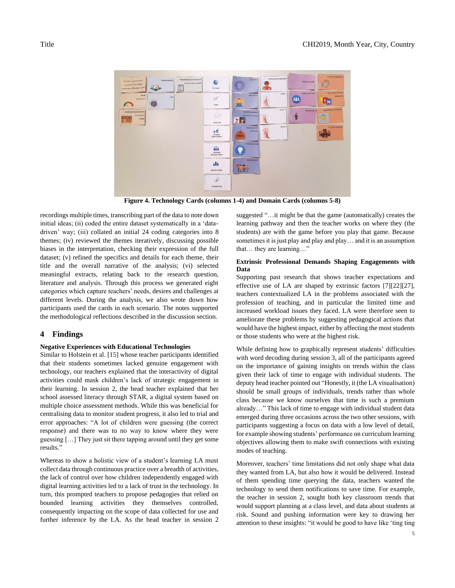

**Figure 4. Technology Cards (columns 1-4) and Domain Cards (columns 5-8)**

m d.

 $\cdot$ 

recordings multiple times, transcribing part of the data to note down initial ideas; (ii) coded the entire dataset systematically in a 'datadriven' way; (iii) collated an initial 24 coding categories into 8 themes; (iv) reviewed the themes iteratively, discussing possible biases in the interpretation, checking their expression of the full dataset; (v) refined the specifics and details for each theme, their title and the overall narrative of the analysis; (vi) selected meaningful extracts, relating back to the research question, literature and analysis. Through this process we generated eight categories which capture teachers' needs, desires and challenges at different levels. During the analysis, we also wrote down how participants used the cards in each scenario. The notes supported the methodological reflections described in the discussion section.

## **4 Findings**

#### **Negative Experiences with Educational Technologies**

Similar to Holstein et al[. \[15\]](#page-9-3) whose teacher participants identified that their students sometimes lacked genuine engagement with technology, our teachers explained that the interactivity of digital activities could mask children's lack of strategic engagement in their learning. In session 2, the head teacher explained that her school assessed literacy through STAR, a digital system based on multiple choice assessment methods. While this was beneficial for centralising data to monitor student progress, it also led to trial and error approaches: "A lot of children were guessing (the correct response) and there was to no way to know where they were guessing […] They just sit there tapping around until they get some results."

Whereas to show a holistic view of a student's learning LA must collect data through continuous practice over a breadth of activities, the lack of control over how children independently engaged with digital learning activities led to a lack of trust in the technology. In turn, this prompted teachers to propose pedagogies that relied on bounded learning activities they themselves controlled, consequently impacting on the scope of data collected for use and further inference by the LA. As the head teacher in session 2

suggested "…it might be that the game (automatically) creates the learning pathway and then the teacher works on where they (the students) are with the game before you play that game. Because sometimes it is just play and play and play… and it is an assumption that… they are learning…"

EN

### **Extrinsic Professional Demands Shaping Engagements with Data**

Supporting past research that shows teacher expectations and effective use of LA are shaped by extrinsic factors [\[7\]](#page-8-6)[\[22\]](#page-9-10)[\[27\],](#page-9-9) teachers contextualized LA in the problems associated with the profession of teaching, and in particular the limited time and increased workload issues they faced. LA were therefore seen to ameliorate these problems by suggesting pedagogical actions that would have the highest impact, either by affecting the most students or those students who were at the highest risk.

While defining how to graphically represent students' difficulties with word decoding during session 3, all of the participants agreed on the importance of gaining insights on trends within the class given their lack of time to engage with individual students. The deputy head teacher pointed out "Honestly, it (the LA visualisation) should be small groups of individuals, trends rather than whole class because we know ourselves that time is such a premium already…" This lack of time to engage with individual student data emerged during three occasions across the two other sessions, with participants suggesting a focus on data with a low level of detail, for example showing students' performance on curriculum learning objectives allowing them to make swift connections with existing modes of teaching.

Moreover, teachers' time limitations did not only shape what data they wanted from LA, but also how it would be delivered. Instead of them spending time querying the data, teachers wanted the technology to send them notifications to save time. For example, the teacher in session 2, sought both key classroom trends that would support planning at a class level, and data about students at risk. Sound and pushing information were key to drawing her attention to these insights: "it would be good to have like 'ting ting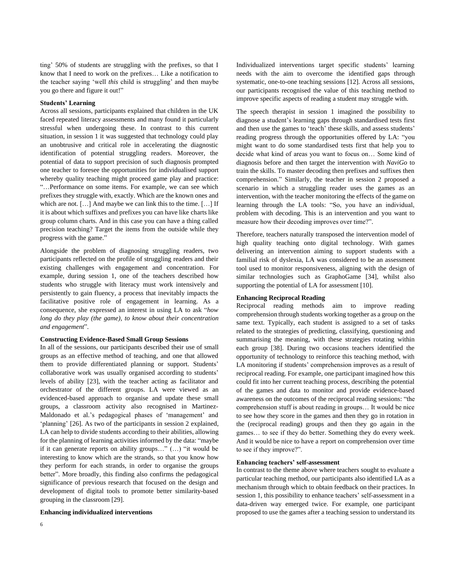ting' 50% of students are struggling with the prefixes, so that I know that I need to work on the prefixes… Like a notification to the teacher saying 'well *this* child is struggling' and then maybe you go there and figure it out!"

#### **Students' Learning**

Across all sessions, participants explained that children in the UK faced repeated literacy assessments and many found it particularly stressful when undergoing these. In contrast to this current situation, in session 1 it was suggested that technology could play an unobtrusive and critical role in accelerating the diagnostic identification of potential struggling readers. Moreover, the potential of data to support precision of such diagnosis prompted one teacher to foresee the opportunities for individualised support whereby quality teaching might proceed game play and practice: "…Performance on some items. For example, we can see which prefixes they struggle with, exactly. Which are the known ones and which are not. […] And maybe we can link this to the time. […] If it is about which suffixes and prefixes you can have like charts like group column charts. And in this case you can have a thing called precision teaching? Target the items from the outside while they progress with the game."

Alongside the problem of diagnosing struggling readers, two participants reflected on the profile of struggling readers and their existing challenges with engagement and concentration. For example, during session 1, one of the teachers described how students who struggle with literacy must work intensively and persistently to gain fluency, a process that inevitably impacts the facilitative positive role of engagement in learning. As a consequence, she expressed an interest in using LA to ask "*how long do they play (the game), to know about their concentration and engagement*".

#### **Constructing Evidence-Based Small Group Sessions**

In all of the sessions, our participants described their use of small groups as an effective method of teaching, and one that allowed them to provide differentiated planning or support. Students' collaborative work was usually organised according to students' levels of ability [\[23\],](#page-9-19) with the teacher acting as facilitator and orchestrator of the different groups. LA were viewed as an evidenced-based approach to organise and update these small groups, a classroom activity also recognised in Martinez-Maldonado et al.'s pedagogical phases of 'management' and 'planning' [\[26\].](#page-9-0) As two of the participants in session 2 explained, LA can help to divide students according to their abilities, allowing for the planning of learning activities informed by the data: "maybe if it can generate reports on ability groups…" (…) "it would be interesting to know which are the strands, so that you know how they perform for each strands, in order to organise the groups better". More broadly, this finding also confirms the pedagogical significance of previous research that focused on the design and development of digital tools to promote better similarity-based grouping in the classroom [\[29\].](#page-9-20)

#### **Enhancing individualized interventions**

Individualized interventions target specific students' learning needs with the aim to overcome the identified gaps through systematic, one-to-one teaching sessions [\[12\].](#page-8-7) Across all sessions, our participants recognised the value of this teaching method to improve specific aspects of reading a student may struggle with.

The speech therapist in session 1 imagined the possibility to diagnose a student's learning gaps through standardised tests first and then use the games to 'teach' these skills, and assess students' reading progress through the opportunities offered by LA: "you might want to do some standardised tests first that help you to decide what kind of areas you want to focus on… Some kind of diagnosis before and then target the intervention with *NaviGo* to train the skills. To master decoding then prefixes and suffixes then comprehension." Similarly, the teacher in session 2 proposed a scenario in which a struggling reader uses the games as an intervention, with the teacher monitoring the effects of the game on learning through the LA tools: "So, you have an individual, problem with decoding. This is an intervention and you want to measure how their decoding improves over time?".

Therefore, teachers naturally transposed the intervention model of high quality teaching onto digital technology. With games delivering an intervention aiming to support students with a familial risk of dyslexia, LA was considered to be an assessment tool used to monitor responsiveness, aligning with the design of similar technologies such as GraphoGame [\[34\],](#page-9-21) whilst also supporting the potential of LA for assessment [\[10\].](#page-8-8)

#### **Enhancing Reciprocal Reading**

Reciprocal reading methods aim to improve reading comprehension through students working together as a group on the same text. Typically, each student is assigned to a set of tasks related to the strategies of predicting, classifying, questioning and summarising the meaning, with these strategies rotating within each group [\[38\].](#page-9-22) During two occasions teachers identified the opportunity of technology to reinforce this teaching method, with LA monitoring if students' comprehension improves as a result of reciprocal reading. For example, one participant imagined how this could fit into her current teaching process, describing the potential of the games and data to monitor and provide evidence-based awareness on the outcomes of the reciprocal reading sessions: "the comprehension stuff is about reading in groups… It would be nice to see how they score in the games and then they go in rotation in the (reciprocal reading) groups and then they go again in the games… to see if they do better. Something they do every week. And it would be nice to have a report on comprehension over time to see if they improve?".

#### **Enhancing teachers' self-assessment**

In contrast to the theme above where teachers sought to evaluate a particular teaching method, our participants also identified LA as a mechanism through which to obtain feedback on their practices. In session 1, this possibility to enhance teachers' self-assessment in a data-driven way emerged twice. For example, one participant proposed to use the games after a teaching session to understand its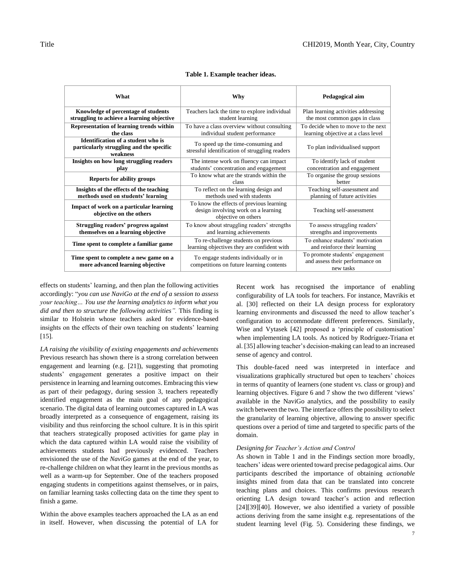| What                                                                                              | Why                                                                                                    | Pedagogical aim                                                                 |
|---------------------------------------------------------------------------------------------------|--------------------------------------------------------------------------------------------------------|---------------------------------------------------------------------------------|
| Knowledge of percentage of students<br>struggling to achieve a learning objective                 | Teachers lack the time to explore individual<br>student learning                                       | Plan learning activities addressing<br>the most common gaps in class            |
| Representation of learning trends within<br>the class                                             | To have a class overview without consulting<br>individual student performance                          | To decide when to move to the next<br>learning objective at a class level       |
| <b>Identification of a student who is</b><br>particularly struggling and the specific<br>weakness | To speed up the time-consuming and<br>stressful identification of struggling readers                   | To plan individualised support                                                  |
| Insights on how long struggling readers<br>play                                                   | The intense work on fluency can impact<br>students' concentration and engagement                       | To identify lack of student<br>concentration and engagement                     |
| <b>Reports for ability groups</b>                                                                 | To know what are the strands within the<br>class                                                       | To organise the group sessions<br>hetter                                        |
| Insights of the effects of the teaching<br>methods used on students' learning                     | To reflect on the learning design and<br>methods used with students                                    | Teaching self-assessment and<br>planning of future activities                   |
| Impact of work on a particular learning<br>objective on the others                                | To know the effects of previous learning<br>design involving work on a learning<br>objective on others | Teaching self-assessment                                                        |
| Struggling readers' progress against<br>themselves on a learning objective                        | To know about struggling readers' strengths<br>and learning achievements                               | To assess struggling readers'<br>strengths and improvements                     |
| Time spent to complete a familiar game                                                            | To re-challenge students on previous<br>learning objectives they are confident with                    | To enhance students' motivation<br>and reinforce their learning                 |
| Time spent to complete a new game on a<br>more advanced learning objective                        | To engage students individually or in<br>competitions on future learning contents                      | To promote students' engagement<br>and assess their performance on<br>new tasks |

# **Table 1. Example teacher ideas.**

effects on students' learning, and then plan the following activities accordingly: "*you can use NaviGo at the end of a session to assess your teaching… You use the learning analytics to inform what you did and then to structure the following activities".* This finding is similar to Holstein whose teachers asked for evidence-based insights on the effects of their own teaching on students' learning [\[15\].](#page-9-3)

*LA raising the visibility of existing engagements and achievements*  Previous research has shown there is a strong correlation between engagement and learning (e.g. [\[21\]\)](#page-9-23), suggesting that promoting students' engagement generates a positive impact on their persistence in learning and learning outcomes. Embracing this view as part of their pedagogy, during session 3, teachers repeatedly identified engagement as the main goal of any pedagogical scenario. The digital data of learning outcomes captured in LA was broadly interpreted as a consequence of engagement, raising its visibility and thus reinforcing the school culture. It is in this spirit that teachers strategically proposed activities for game play in which the data captured within LA would raise the visibility of achievements students had previously evidenced. Teachers envisioned the use of the *NaviGo* games at the end of the year, to re-challenge children on what they learnt in the previous months as well as a warm-up for September. One of the teachers proposed engaging students in competitions against themselves, or in pairs, on familiar learning tasks collecting data on the time they spent to finish a game.

Within the above examples teachers approached the LA as an end in itself. However, when discussing the potential of LA for

Recent work has recognised the importance of enabling configurability of LA tools for teachers. For instance, Mavrikis et al. [\[30\]](#page-9-24) reflected on their LA design process for exploratory learning environments and discussed the need to allow teacher's configuration to accommodate different preferences. Similarly, Wise and Vytasek [\[42\]](#page-9-25) proposed a 'principle of customisation' when implementing LA tools. As noticed by Rodríguez-Triana et al. [\[35\]](#page-9-26) allowing teacher's decision-making can lead to an increased sense of agency and control.

This double-faced need was interpreted in interface and visualizations graphically structured but open to teachers' choices in terms of quantity of learners (one student vs. class or group) and learning objectives. Figure 6 and 7 show the two different 'views' available in the NaviGo analytics, and the possibility to easily switch between the two. The interface offers the possibility to select the granularity of learning objective, allowing to answer specific questions over a period of time and targeted to specific parts of the domain.

#### *Designing for Teacher's Action and Control*

As shown in Table 1 and in the Findings section more broadly, teachers' ideas were oriented toward precise pedagogical aims. Our participants described the importance of obtaining *actionable*  insights mined from data that can be translated into concrete teaching plans and choices. This confirms previous research orienting LA design toward teacher's action and reflection [\[24\]](#page-9-12)[\[39\]](#page-9-6)[\[40\].](#page-9-7) However, we also identified a variety of possible actions deriving from the same insight e.g. representations of the student learning level (Fig. 5). Considering these findings, we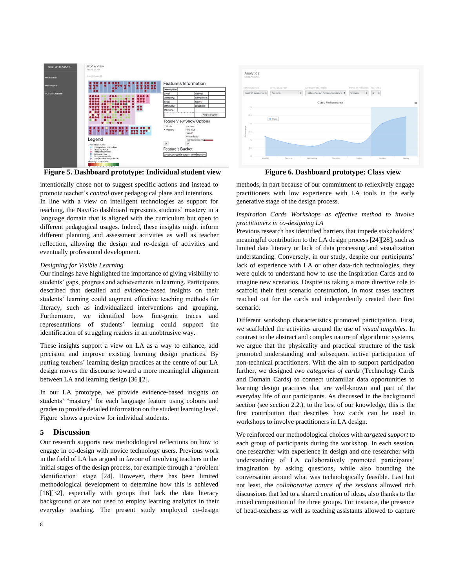

**Figure 5. Dashboard prototype: Individual student view Figure 6. Dashboard prototype: Class view**

intentionally chose not to suggest specific actions and instead to promote teacher's *control* over pedagogical plans and intentions. In line with a view on intelligent technologies as support for teaching, the NaviGo dashboard represents students' mastery in a language domain that is aligned with the curriculum but open to different pedagogical usages. Indeed, these insights might inform different planning and assessment activities as well as teacher reflection, allowing the design and re-design of activities and eventually professional development.

#### *Designing for Visible Learning*

Our findings have highlighted the importance of giving visibility to students' gaps, progress and achievements in learning. Participants described that detailed and evidence-based insights on their students' learning could augment effective teaching methods for literacy, such as individualized interventions and grouping. Furthermore, we identified how fine-grain traces and representations of students' learning could support the identification of struggling readers in an unobtrusive way.

These insights support a view on LA as a way to enhance, add precision and improve existing learning design practices. By putting teachers' learning design practices at the centre of our LA design moves the discourse toward a more meaningful alignment between LA and learning design [\[36\]](#page-9-27)[\[2\].](#page-8-9)

In our LA prototype, we provide evidence-based insights on students' 'mastery' for each language feature using colours and grades to provide detailed information on the student learning level. Figure shows a preview for individual students.

#### **5 Discussion**

Our research supports new methodological reflections on how to engage in co-design with novice technology users. Previous work in the field of LA has argued in favour of involving teachers in the initial stages of the design process, for example through a 'problem identification' stage [\[24\].](#page-9-28) However, there has been limited methodological development to determine how this is achieved [\[16\]](#page-9-11)[\[32\],](#page-9-2) especially with groups that lack the data literacy background or are not used to employ learning analytics in their everyday teaching. The present study employed co-design



methods, in part because of our commitment to reflexively engage practitioners with low experience with LA tools in the early generative stage of the design process.

#### *Inspiration Cards Workshops as effective method to involve practitioners in co-designing LA*

Previous research has identified barriers that impede stakeholders' meaningful contribution to the LA design process [\[24\]](#page-9-12)[\[28\],](#page-9-13) such as limited data literacy or lack of data processing and visualization understanding. Conversely, in our study, despite our participants' lack of experience with LA or other data-rich technologies, they were quick to understand how to use the Inspiration Cards and to imagine new scenarios. Despite us taking a more directive role to scaffold their first scenario construction, in most cases teachers reached out for the cards and independently created their first scenario.

Different workshop characteristics promoted participation. First, we scaffolded the activities around the use of *visual tangibles*. In contrast to the abstract and complex nature of algorithmic systems, we argue that the physicality and practical structure of the task promoted understanding and subsequent active participation of non-technical practitioners. With the aim to support participation further, we designed *two categories of cards* (Technology Cards and Domain Cards) to connect unfamiliar data opportunities to learning design practices that are well-known and part of the everyday life of our participants. As discussed in the background section (see section 2.2.), to the best of our knowledge, this is the first contribution that describes how cards can be used in workshops to involve practitioners in LA design.

We reinforced our methodological choices with *targeted support* to each group of participants during the workshop. In each session, one researcher with experience in design and one researcher with understanding of LA collaboratively promoted participants' imagination by asking questions, while also bounding the conversation around what was technologically feasible. Last but not least, the *collaborative nature of the sessions* allowed rich discussions that led to a shared creation of ideas, also thanks to the mixed composition of the three groups. For instance, the presence of head-teachers as well as teaching assistants allowed to capture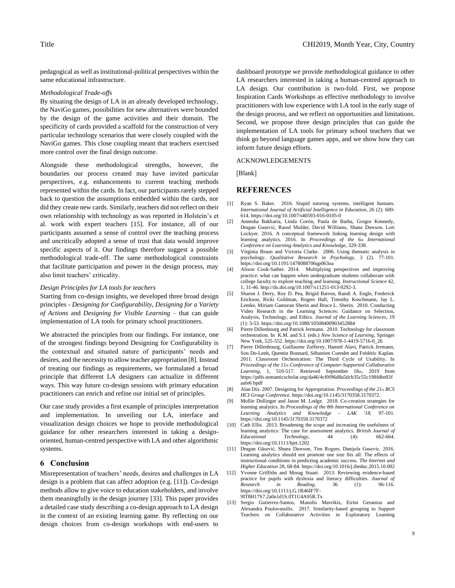pedagogical as well as institutional-political perspectives within the same educational infrastructure.

#### *Methodological Trade-offs*

By situating the design of LA in an already developed technology, the NaviGo games, possibilities for new alternatives were bounded by the design of the game activities and their domain. The specificity of cards provided a scaffold for the construction of very particular technology scenarios that were closely coupled with the NaviGo games. This close coupling meant that teachers exercised more control over the final design outcome.

Alongside these methodological strengths, however, the boundaries our process created may have invited particular perspectives, e.g. enhancements to current teaching methods represented within the cards. In fact, our participants rarely stepped back to question the assumptions embedded within the cards, nor did they create new cards. Similarly, teachers did not reflect on their own relationship with technology as was reported in Holstein's et al. work with expert teachers [\[15\].](#page-9-3) For instance, all of our participants assumed a sense of control over the teaching process and uncritically adopted a sense of trust that data would improve specific aspects of it. Our findings therefore suggest a possible methodological trade-off. The same methodological constraints that facilitate participation and power in the design process, may also limit teachers' criticality.

#### *Design Principles for LA tools for teachers*

Starting from co-design insights, we developed three broad design principles - *Designing for Configurability, Designing for a Variety of Actions* and *Designing for Visible Learning* – that can guide implementation of LA tools for primary school practitioners.

We abstracted the principles from our findings. For instance, one of the strongest findings beyond Designing for Configurability is the contextual and situated nature of participants' needs and desires, and the necessity to allow teacher appropriation [\[8\].](#page-8-2) Instead of treating our findings as requirements, we formulated a broad principle that different LA designers can actualize in different ways. This way future co-design sessions with primary education practitioners can enrich and refine our initial set of principles.

Our case study provides a first example of principles interpretation and implementation. In unveiling our LA, interface and visualization design choices we hope to provide methodological guidance for other researchers interested in taking a designoriented, human-centred perspective with LA and other algorithmic systems.

### **6 Conclusion**

Misrepresentation of teachers' needs, desires and challenges in LA design is a problem that can affect adoption (e.g. [\[11\]\)](#page-8-10). Co-design methods allow to give voice to education stakeholders, and involve them meaningfully in the design journey [\[33\].](#page-9-14) This paper provides a detailed case study describing a co-design approach to LA design in the context of an existing learning game. By reflecting on our design choices from co-design workshops with end-users to

dashboard prototype we provide methodological guidance to other LA researchers interested in taking a human-centred approach to LA design. Our contribution is two-fold. First, we propose Inspiration Cards Workshops as effective methodology to involve practitioners with low experience with LA tool in the early stage of the design process, and we reflect on opportunities and limitations. Second, we propose three design principles that can guide the implementation of LA tools for primary school teachers that we think go beyond language games apps, and we show how they can inform future design efforts.

#### ACKNOWLEDGEMENTS

[Blank]

## **REFERENCES**

- <span id="page-8-1"></span>[1] Ryan S. Baker. 2016. Stupid tutoring systems, intelligent humans. *International Journal of Artificial Intelligence in Education*, 26 (2): 600- 614. https://doi.org/10.1007/s40593-016-0105-0
- <span id="page-8-9"></span>[2] Annesha Bakharia, Linda Corrin, Paula de Barba, Gregor Kennedy, Dragan Gasević, Raoul Mulder, David Williams, Shane Dawson, Lori Lockyer. 2016. A conceptual framework linking learning design with learning analytics. 2016. In *Proceedings of the 6th International Conference on Learning Analytics and Knowledge,* 329-338.
- <span id="page-8-5"></span>[3] Virginia Braun and Victoria Clarke. 2006. Using thematic analysis in psychology. *Qualitative Research in Psychology*, 3 (2). 77-101. https://doi.org/10.1191/1478088706qp063oa
- <span id="page-8-3"></span>[4] Alison Cook-Sather. 2014. Multiplying perspectives and improving practice: what can happen when undergraduate students collaborate with college faculty to explore teaching and learning. *Instructional Science* 42, 1, 31-46. http://dx.doi.org/10.1007/s11251-013-9292-3.
- <span id="page-8-4"></span>[5] Sharon J. Derry, Roy D. Pea, Brigid Barron, Randi A. Engle, Frederick Erickson, Ricki Goldman, Rogers Hall, Timothy Koschmann, Jay L. Lemke, Miriam Gamoran Sherin and Bruce L. Sherin. 2010. Conducting Video Research in the Learning Sciences: Guidance on Selection, Analysis, Technology, and Ethics. *Journal of the Learning Sciences*, 19 (1): 3-53. https://doi.org/10.1080/10508400903452884
- <span id="page-8-0"></span>[6] Pierre Dillenbourg and Patrick Jermann. 2010. Technology for classroom orchestration. In K.M. and S.I. (eds.) *New Science of Learning*, Springer New York, 525-552. https://doi.org/10.1007/978-1-4419-5716-0\_26
- <span id="page-8-6"></span>[7] Pierre Dillenbourg, Guillaume Zufferey, Hamed Alavi, Patrick Jermann, Son Do-Lenh, Quentin Bonnard, Sébastien Cuendet and Frédéric Kaplan. 2011. Classroom Orchestration: The Third Cycle of Usability. In *Proceedings of the 11th Conference of Computer-Supported Collaborative*  Learning, 1, 510-517. Retrieved September 18th, 2019 from https://pdfs.semanticscholar.org/da46/4cf0f96d8a5dcb35c55c198fdbe83f aafe6 bpdf
- <span id="page-8-2"></span>[8] Alan Dix. 2007. Designing for Appropriation. *Proceedings of the 21st BCS HCI Group Conference.* https://doi.org/10.1145/3170358.3170372.
- [9] Mollie Dollinger and Jason M. Lodge. 2018. Co-creation strategies for learning analytics. In *Proceedings of the 8th International Conference on Learning Analytics and Knowledge - LAK '18*, 97-101. https://doi.org/10.1145/3170358.3170372
- <span id="page-8-8"></span>[10] Cath Ellis. 2013. Broadening the scope and increasing the usefulness of learning analytics: The case for assessment analytics. *British Journal of Educational Technology*, 44 (4): 662-664. https://doi.org/10.1111/bjet.1202
- <span id="page-8-10"></span>[11] Dragan Gâsević, Shane Dawson, Tim Rogers, Danijela Gasevic. 2016. Learning analytics should not promote one size fits all: The effects of instructional conditions in predicting academic success. *The Internet and Higher Education* 28, 68-84. https://doi.org/10.1016/j.iheduc.2015.10.002
- <span id="page-8-7"></span>[12] Yvonne Griffiths and Morag Stuart. 2013. Reviewing evidence-based practice for pupils with dyslexia and literacy difficulties. *Journal of Research in Reading*, 36 (1): 96-116. https://doi.org/10.1111/j.G.1R46IF7F-9IT8H17S7.2a0n1d1S.0T1U4A95R.Tx
- [13] Sergio Gutierrez-Santos, Manolis Mavrikis, Eirini Geraniou and Alexandra Poulovassilis. 2017. Similarity-based grouping to Support Teachers on Collaborative Activities in Exploratory Learning